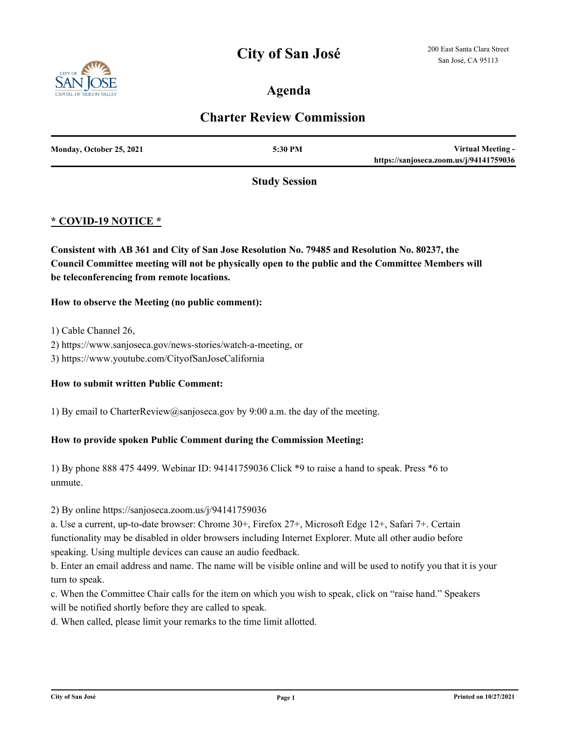## **City of San José**



### **Agenda**

### **Charter Review Commission**

| Monday, October 25, 2021 | 5:30 PM | Virtual Meeting -                       |
|--------------------------|---------|-----------------------------------------|
|                          |         | https://sanjoseca.zoom.us/j/94141759036 |

**Study Session**

### **\* COVID-19 NOTICE \***

**Consistent with AB 361 and City of San Jose Resolution No. 79485 and Resolution No. 80237, the Council Committee meeting will not be physically open to the public and the Committee Members will be teleconferencing from remote locations.**

#### **How to observe the Meeting (no public comment):**

1) Cable Channel 26,

- 2) https://www.sanjoseca.gov/news-stories/watch-a-meeting, or
- 3) https://www.youtube.com/CityofSanJoseCalifornia

#### **How to submit written Public Comment:**

1) By email to CharterReview@sanjoseca.gov by 9:00 a.m. the day of the meeting.

#### **How to provide spoken Public Comment during the Commission Meeting:**

1) By phone 888 475 4499. Webinar ID: 94141759036 Click \*9 to raise a hand to speak. Press \*6 to unmute.

#### 2) By online https://sanjoseca.zoom.us/j/94141759036

a. Use a current, up-to-date browser: Chrome 30+, Firefox 27+, Microsoft Edge 12+, Safari 7+. Certain functionality may be disabled in older browsers including Internet Explorer. Mute all other audio before speaking. Using multiple devices can cause an audio feedback.

b. Enter an email address and name. The name will be visible online and will be used to notify you that it is your turn to speak.

c. When the Committee Chair calls for the item on which you wish to speak, click on "raise hand." Speakers will be notified shortly before they are called to speak.

d. When called, please limit your remarks to the time limit allotted.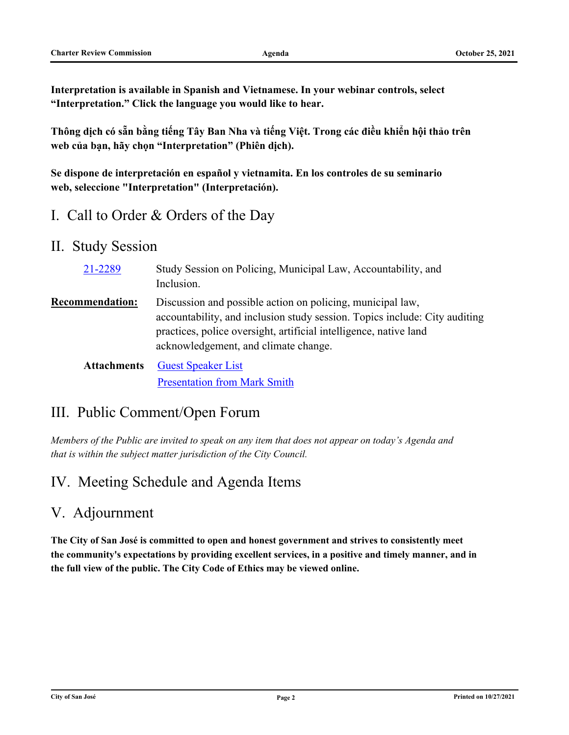**Interpretation is available in Spanish and Vietnamese. In your webinar controls, select "Interpretation." Click the language you would like to hear.**

**Thông dịch có sẵn bằng tiếng Tây Ban Nha và tiếng Việt. Trong các điều khiển hội thảo trên web của bạn, hãy chọn "Interpretation" (Phiên dịch).**

**Se dispone de interpretación en español y vietnamita. En los controles de su seminario web, seleccione "Interpretation" (Interpretación).**

- I. Call to Order & Orders of the Day
- II. Study Session

| 21-2289                | Study Session on Policing, Municipal Law, Accountability, and<br>Inclusion.                                                                                                                                                                           |
|------------------------|-------------------------------------------------------------------------------------------------------------------------------------------------------------------------------------------------------------------------------------------------------|
| <b>Recommendation:</b> | Discussion and possible action on policing, municipal law,<br>accountability, and inclusion study session. Topics include: City auditing<br>practices, police oversight, artificial intelligence, native land<br>acknowledgement, and climate change. |
| <b>Attachments</b>     | <b>Guest Speaker List</b>                                                                                                                                                                                                                             |

# III. Public Comment/Open Forum

*Members of the Public are invited to speak on any item that does not appear on today's Agenda and that is within the subject matter jurisdiction of the City Council.*

[Presentation from Mark Smith](http://sanjose.legistar.com/gateway.aspx?M=F&ID=1b263403-2b71-40ca-b57e-84336df74d34.pdf)

# IV. Meeting Schedule and Agenda Items

## V. Adjournment

**The City of San José is committed to open and honest government and strives to consistently meet the community's expectations by providing excellent services, in a positive and timely manner, and in the full view of the public. The City Code of Ethics may be viewed online.**